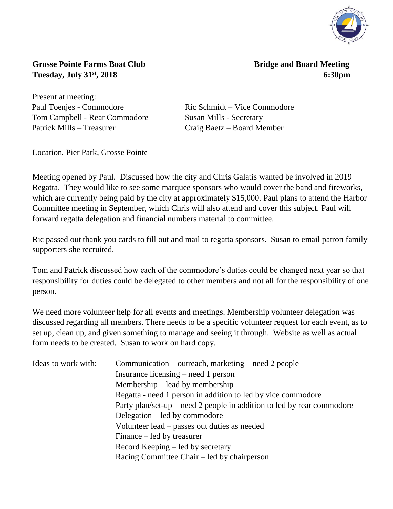

## **Grosse Pointe Farms Boat Club** Bridge and Board Meeting **Tuesday, July 31st**

**, 2018 6:30pm**

Present at meeting: Paul Toenjes - Commodore Ric Schmidt – Vice Commodore Tom Campbell - Rear Commodore Susan Mills - Secretary Patrick Mills – Treasurer Craig Baetz – Board Member

Location, Pier Park, Grosse Pointe

Meeting opened by Paul. Discussed how the city and Chris Galatis wanted be involved in 2019 Regatta. They would like to see some marquee sponsors who would cover the band and fireworks, which are currently being paid by the city at approximately \$15,000. Paul plans to attend the Harbor Committee meeting in September, which Chris will also attend and cover this subject. Paul will forward regatta delegation and financial numbers material to committee.

Ric passed out thank you cards to fill out and mail to regatta sponsors. Susan to email patron family supporters she recruited.

Tom and Patrick discussed how each of the commodore's duties could be changed next year so that responsibility for duties could be delegated to other members and not all for the responsibility of one person.

We need more volunteer help for all events and meetings. Membership volunteer delegation was discussed regarding all members. There needs to be a specific volunteer request for each event, as to set up, clean up, and given something to manage and seeing it through. Website as well as actual form needs to be created. Susan to work on hard copy.

| Ideas to work with: | Communication – outreach, marketing – need 2 people                    |
|---------------------|------------------------------------------------------------------------|
|                     | Insurance licensing $-$ need 1 person                                  |
|                     | Membership $-$ lead by membership                                      |
|                     | Regatta - need 1 person in addition to led by vice commodore           |
|                     | Party plan/set-up – need 2 people in addition to led by rear commodore |
|                     | Delegation $-$ led by commodore                                        |
|                     | Volunteer lead – passes out duties as needed                           |
|                     | Finance $-$ led by treasurer                                           |
|                     | Record Keeping – led by secretary                                      |
|                     | Racing Committee Chair – led by chairperson                            |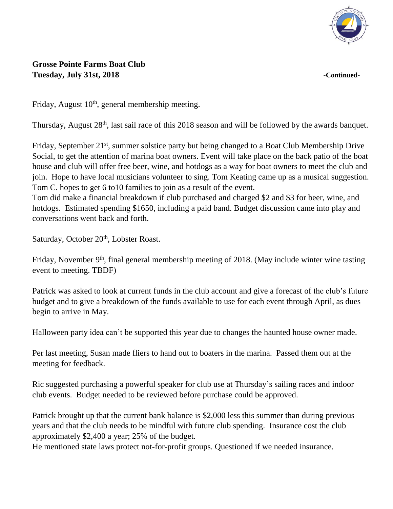

## **Grosse Pointe Farms Boat Club** Tuesday, July 31st, 2018

Friday, August 10<sup>th</sup>, general membership meeting.

Thursday, August 28<sup>th</sup>, last sail race of this 2018 season and will be followed by the awards banquet.

Friday, September 21<sup>st</sup>, summer solstice party but being changed to a Boat Club Membership Drive Social, to get the attention of marina boat owners. Event will take place on the back patio of the boat house and club will offer free beer, wine, and hotdogs as a way for boat owners to meet the club and join. Hope to have local musicians volunteer to sing. Tom Keating came up as a musical suggestion. Tom C. hopes to get 6 to10 families to join as a result of the event.

Tom did make a financial breakdown if club purchased and charged \$2 and \$3 for beer, wine, and hotdogs. Estimated spending \$1650, including a paid band. Budget discussion came into play and conversations went back and forth.

Saturday, October 20<sup>th</sup>, Lobster Roast.

Friday, November 9<sup>th</sup>, final general membership meeting of 2018. (May include winter wine tasting event to meeting. TBDF)

Patrick was asked to look at current funds in the club account and give a forecast of the club's future budget and to give a breakdown of the funds available to use for each event through April, as dues begin to arrive in May.

Halloween party idea can't be supported this year due to changes the haunted house owner made.

Per last meeting, Susan made fliers to hand out to boaters in the marina. Passed them out at the meeting for feedback.

Ric suggested purchasing a powerful speaker for club use at Thursday's sailing races and indoor club events. Budget needed to be reviewed before purchase could be approved.

Patrick brought up that the current bank balance is \$2,000 less this summer than during previous years and that the club needs to be mindful with future club spending. Insurance cost the club approximately \$2,400 a year; 25% of the budget.

He mentioned state laws protect not-for-profit groups. Questioned if we needed insurance.